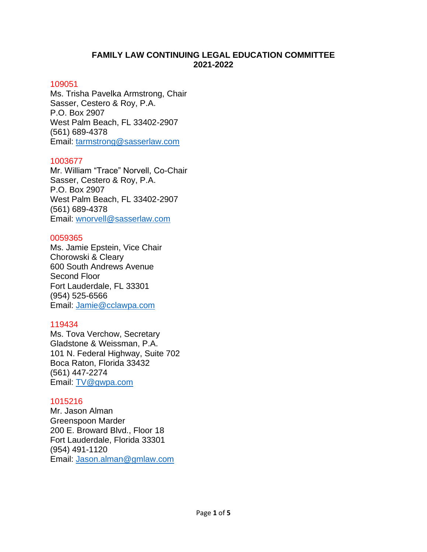# **FAMILY LAW CONTINUING LEGAL EDUCATION COMMITTEE 2021-2022**

### 109051

Ms. Trisha Pavelka Armstrong, Chair Sasser, Cestero & Roy, P.A. P.O. Box 2907 West Palm Beach, FL 33402-2907 (561) 689-4378 Email: [tarmstrong@sasserlaw.com](mailto:tarmstrong@sasserlaw.com)

# 1003677

Mr. William "Trace" Norvell, Co-Chair Sasser, Cestero & Roy, P.A. P.O. Box 2907 West Palm Beach, FL 33402-2907 (561) 689-4378 Email: [wnorvell@sasserlaw.com](mailto:wnorvell@sasserlaw.com)

# 0059365

Ms. Jamie Epstein, Vice Chair Chorowski & Cleary 600 South Andrews Avenue Second Floor Fort Lauderdale, FL 33301 (954) 525-6566 Email: [Jamie@cclawpa.com](mailto:Jamie@cclawpa.com)

# 119434

Ms. Tova Verchow, Secretary Gladstone & Weissman, P.A. 101 N. Federal Highway, Suite 702 Boca Raton, Florida 33432 (561) 447-2274 Email: [TV@gwpa.com](mailto:TV@gwpa.com)

# 1015216

Mr. Jason Alman Greenspoon Marder 200 E. Broward Blvd., Floor 18 Fort Lauderdale, Florida 33301 (954) 491-1120 Email: [Jason.alman@gmlaw.com](mailto:Jason.alman@gmlaw.com)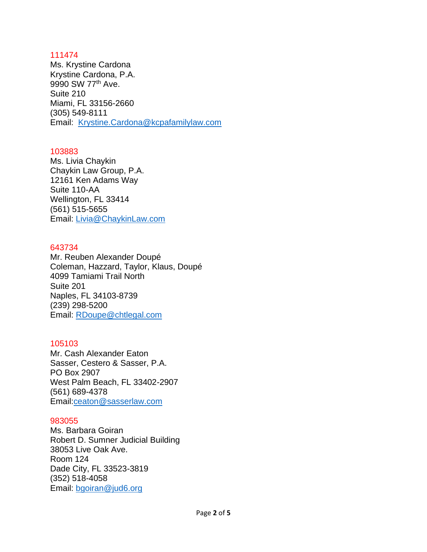Ms. Krystine Cardona Krystine Cardona, P.A. 9990 SW 77<sup>th</sup> Ave. Suite 210 Miami, FL 33156-2660 (305) 549-8111 Email: [Krystine.Cardona@kcpafamilylaw.com](mailto:Krystine.Cardona@kcpafamilylaw.com)

### 103883

Ms. Livia Chaykin Chaykin Law Group, P.A. 12161 Ken Adams Way Suite 110-AA Wellington, FL 33414 (561) 515-5655 Email: [Livia@ChaykinLaw.com](mailto:Livia@ChaykinLaw.com)

### 643734

Mr. Reuben Alexander Doupé Coleman, Hazzard, Taylor, Klaus, Doupé 4099 Tamiami Trail North Suite 201 Naples, FL 34103-8739 (239) [298-5200](tel:239-298-5200) Email: [RDoupe@chtlegal.com](mailto:RDoupe@chtlegal.com)

# 105103

Mr. Cash Alexander Eaton Sasser, Cestero & Sasser, P.A. PO Box 2907 West Palm Beach, FL 33402-2907 (561) [689-4378](tel:561-689-4378) Email[:ceaton@sasserlaw.com](mailto:ceaton@sasserlaw.com)

### 983055

Ms. Barbara Goiran Robert D. Sumner Judicial Building 38053 Live Oak Ave. Room 124 Dade City, FL 33523-3819 (352) 518-4058 Email: [bgoiran@jud6.org](mailto:bgoiran@jud6.org)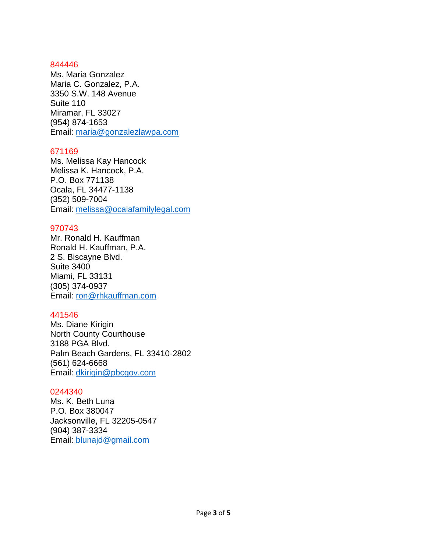Ms. Maria Gonzalez Maria C. Gonzalez, P.A. 3350 S.W. 148 Avenue Suite 110 Miramar, FL 33027 [\(954\)](tel:954-809-3300) 874-1653 Email: [maria@gonzalezlawpa.com](mailto:maria@gonzalezlawpa.com)

### 671169

Ms. Melissa Kay Hancock Melissa K. Hancock, P.A. P.O. Box 771138 Ocala, FL 34477-1138 (352) 509-7004 Email: [melissa@ocalafamilylegal.com](mailto:melissa@ocalafamilylegal.com)

### 970743

Mr. Ronald H. Kauffman Ronald H. Kauffman, P.A. 2 S. Biscayne Blvd. Suite 3400 Miami, FL 33131 (305) 374-0937 Email: [ron@rhkauffman.com](mailto:ron@rhkauffman.com)

### 441546

Ms. Diane Kirigin North County Courthouse 3188 PGA Blvd. Palm Beach Gardens, FL 33410-2802 (561) 624-6668 Email: [dkirigin@pbcgov.com](mailto:dkirigin@pbcgov.com)

#### 0244340

Ms. K. Beth Luna P.O. Box 380047 Jacksonville, FL 32205-0547 (904) 387-3334 Email: [blunajd@gmail.com](mailto:blunajd@gmail.com)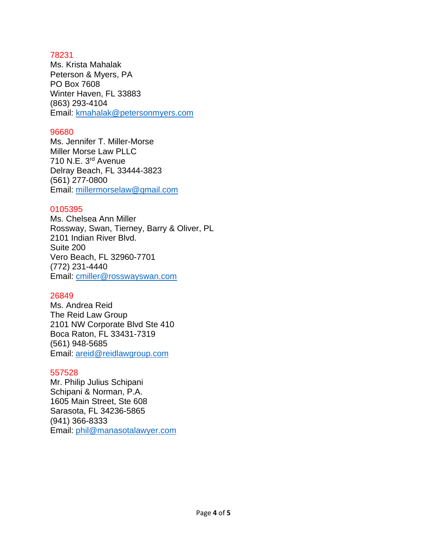Ms. Krista Mahalak Peterson & Myers, PA PO Box 7608 Winter Haven, FL 33883 (863) 293-4104 Email: [kmahalak@petersonmyers.com](mailto:kmahalak@petersonmyers.com)

## 96680

Ms. Jennifer T. Miller-Morse Miller Morse Law PLLC 710 N.E. 3rd Avenue Delray Beach, FL 33444-3823 (561) 277-0800 Email: [millermorselaw@gmail.com](mailto:millermorselaw@gmail.com)

# 0105395

Ms. Chelsea Ann Miller Rossway, Swan, Tierney, Barry & Oliver, PL 2101 Indian River Blvd. Suite 200 Vero Beach, FL 32960-7701 (772) 231-4440 Email: [cmiller@rosswayswan.com](mailto:cmiller@rosswayswan.com)

# 26849

Ms. Andrea Reid The Reid Law Group 2101 NW Corporate Blvd Ste 410 Boca Raton, FL 33431-7319 (561) [948-5685](tel:561-948-5685) Email: [areid@reidlawgroup.com](mailto:areid@reidlawgroup.com)

# 557528

Mr. Philip Julius Schipani Schipani & Norman, P.A. 1605 Main Street, Ste 608 Sarasota, FL 34236-5865 (941) 366-8333 Email: [phil@manasotalawyer.com](mailto:phil@manasotalawyer.com)